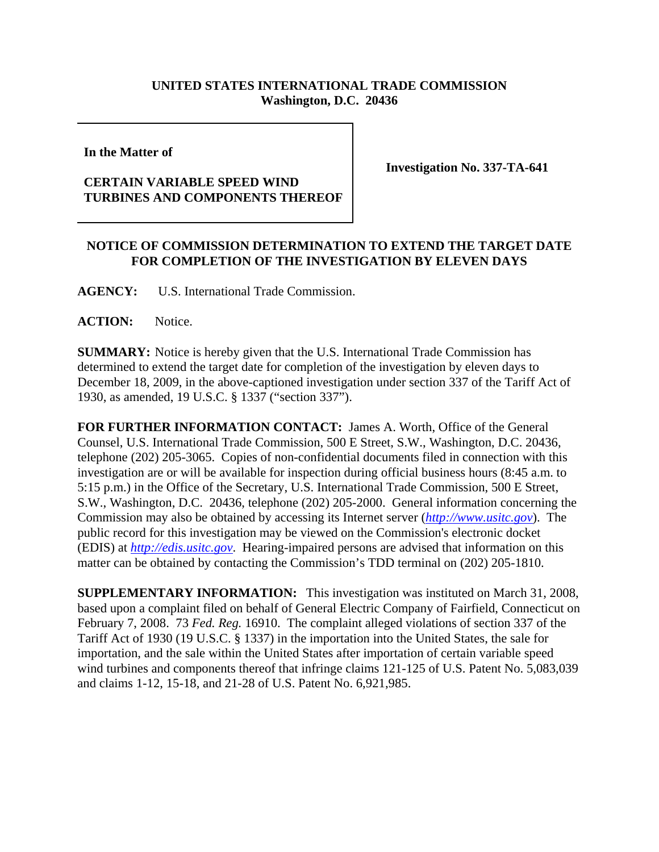## **UNITED STATES INTERNATIONAL TRADE COMMISSION Washington, D.C. 20436**

**In the Matter of** 

## **CERTAIN VARIABLE SPEED WIND TURBINES AND COMPONENTS THEREOF**

**Investigation No. 337-TA-641**

## **NOTICE OF COMMISSION DETERMINATION TO EXTEND THE TARGET DATE FOR COMPLETION OF THE INVESTIGATION BY ELEVEN DAYS**

**AGENCY:** U.S. International Trade Commission.

**ACTION:** Notice.

**SUMMARY:** Notice is hereby given that the U.S. International Trade Commission has determined to extend the target date for completion of the investigation by eleven days to December 18, 2009, in the above-captioned investigation under section 337 of the Tariff Act of 1930, as amended, 19 U.S.C. § 1337 ("section 337").

**FOR FURTHER INFORMATION CONTACT:** James A. Worth, Office of the General Counsel, U.S. International Trade Commission, 500 E Street, S.W., Washington, D.C. 20436, telephone (202) 205-3065. Copies of non-confidential documents filed in connection with this investigation are or will be available for inspection during official business hours (8:45 a.m. to 5:15 p.m.) in the Office of the Secretary, U.S. International Trade Commission, 500 E Street, S.W., Washington, D.C. 20436, telephone (202) 205-2000. General information concerning the Commission may also be obtained by accessing its Internet server (*http://www.usitc.gov*). The public record for this investigation may be viewed on the Commission's electronic docket (EDIS) at *http://edis.usitc.gov*. Hearing-impaired persons are advised that information on this matter can be obtained by contacting the Commission's TDD terminal on (202) 205-1810.

**SUPPLEMENTARY INFORMATION:** This investigation was instituted on March 31, 2008, based upon a complaint filed on behalf of General Electric Company of Fairfield, Connecticut on February 7, 2008. 73 *Fed. Reg.* 16910. The complaint alleged violations of section 337 of the Tariff Act of 1930 (19 U.S.C. § 1337) in the importation into the United States, the sale for importation, and the sale within the United States after importation of certain variable speed wind turbines and components thereof that infringe claims 121-125 of U.S. Patent No. 5,083,039 and claims 1-12, 15-18, and 21-28 of U.S. Patent No. 6,921,985.